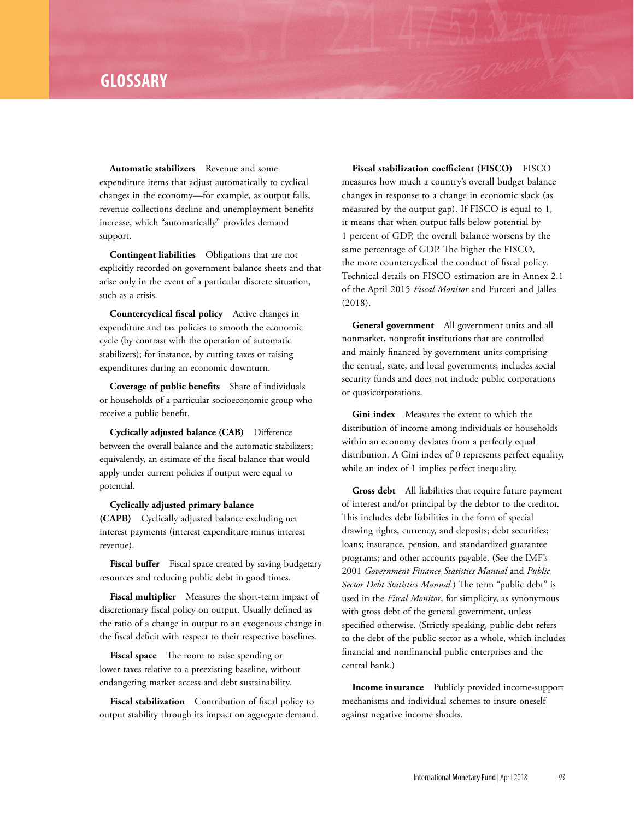## **GLOSSARY**

**Automatic stabilizers** Revenue and some expenditure items that adjust automatically to cyclical changes in the economy—for example, as output falls, revenue collections decline and unemployment benefits increase, which "automatically" provides demand support.

**Contingent liabilities** Obligations that are not explicitly recorded on government balance sheets and that arise only in the event of a particular discrete situation, such as a crisis.

**Countercyclical fiscal policy** Active changes in expenditure and tax policies to smooth the economic cycle (by contrast with the operation of automatic stabilizers); for instance, by cutting taxes or raising expenditures during an economic downturn.

**Coverage of public benefits** Share of individuals or households of a particular socioeconomic group who receive a public benefit.

**Cyclically adjusted balance (CAB)** Difference between the overall balance and the automatic stabilizers; equivalently, an estimate of the fiscal balance that would apply under current policies if output were equal to potential.

**Cyclically adjusted primary balance (CAPB)** Cyclically adjusted balance excluding net

interest payments (interest expenditure minus interest revenue).

Fiscal buffer Fiscal space created by saving budgetary resources and reducing public debt in good times.

**Fiscal multiplier** Measures the short-term impact of discretionary fiscal policy on output. Usually defined as the ratio of a change in output to an exogenous change in the fiscal deficit with respect to their respective baselines.

**Fiscal space** The room to raise spending or lower taxes relative to a preexisting baseline, without endangering market access and debt sustainability.

**Fiscal stabilization** Contribution of fiscal policy to output stability through its impact on aggregate demand.

**Fiscal stabilization coefficient (FISCO)** FISCO measures how much a country's overall budget balance changes in response to a change in economic slack (as measured by the output gap). If FISCO is equal to 1, it means that when output falls below potential by 1 percent of GDP, the overall balance worsens by the same percentage of GDP. The higher the FISCO, the more countercyclical the conduct of fiscal policy. Technical details on FISCO estimation are in Annex 2.1 of the April 2015 *Fiscal Monitor* and Furceri and Jalles (2018).

**General government** All government units and all nonmarket, nonprofit institutions that are controlled and mainly financed by government units comprising the central, state, and local governments; includes social security funds and does not include public corporations or quasicorporations.

**Gini index** Measures the extent to which the distribution of income among individuals or households within an economy deviates from a perfectly equal distribution. A Gini index of 0 represents perfect equality, while an index of 1 implies perfect inequality.

**Gross debt** All liabilities that require future payment of interest and/or principal by the debtor to the creditor. This includes debt liabilities in the form of special drawing rights, currency, and deposits; debt securities; loans; insurance, pension, and standardized guarantee programs; and other accounts payable. (See the IMF's 2001 *Government Finance Statistics Manual* and *Public Sector Debt Statistics Manual.*) The term "public debt" is used in the *Fiscal Monitor*, for simplicity, as synonymous with gross debt of the general government, unless specified otherwise. (Strictly speaking, public debt refers to the debt of the public sector as a whole, which includes financial and nonfinancial public enterprises and the central bank.)

**Income insurance** Publicly provided income-support mechanisms and individual schemes to insure oneself against negative income shocks.